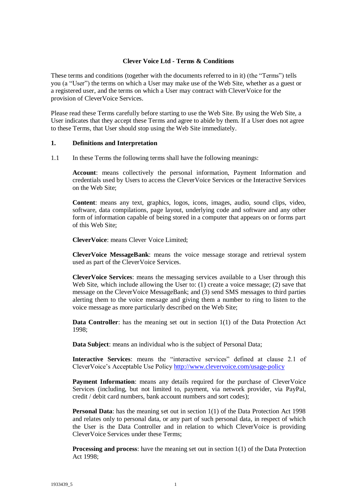### **Clever Voice Ltd - Terms & Conditions**

These terms and conditions (together with the documents referred to in it) (the "Terms") tells you (a "User") the terms on which a User may make use of the Web Site, whether as a guest or a registered user, and the terms on which a User may contract with CleverVoice for the provision of CleverVoice Services.

Please read these Terms carefully before starting to use the Web Site. By using the Web Site, a User indicates that they accept these Terms and agree to abide by them. If a User does not agree to these Terms, that User should stop using the Web Site immediately.

#### **1. Definitions and Interpretation**

1.1 In these Terms the following terms shall have the following meanings:

**Account**: means collectively the personal information, Payment Information and credentials used by Users to access the CleverVoice Services or the Interactive Services on the Web Site;

**Content**: means any text, graphics, logos, icons, images, audio, sound clips, video, software, data compilations, page layout, underlying code and software and any other form of information capable of being stored in a computer that appears on or forms part of this Web Site;

**CleverVoice**: means Clever Voice Limited;

**CleverVoice MessageBank**: means the voice message storage and retrieval system used as part of the CleverVoice Services.

**CleverVoice Services**: means the messaging services available to a User through this Web Site, which include allowing the User to: (1) create a voice message; (2) save that message on the CleverVoice MessageBank; and (3) send SMS messages to third parties alerting them to the voice message and giving them a number to ring to listen to the voice message as more particularly described on the Web Site;

**Data Controller**: has the meaning set out in section 1(1) of the Data Protection Act 1998;

**Data Subject**: means an individual who is the subject of Personal Data;

**Interactive Services**: means the "interactive services" defined at clause 2.1 of CleverVoice's Acceptable Use Policy<http://www.clevervoice.com/usage-policy>

**Payment Information**: means any details required for the purchase of CleverVoice Services (including, but not limited to, payment, via network provider, via PayPal, credit / debit card numbers, bank account numbers and sort codes);

**Personal Data**: has the meaning set out in section 1(1) of the Data Protection Act 1998 and relates only to personal data, or any part of such personal data, in respect of which the User is the Data Controller and in relation to which CleverVoice is providing CleverVoice Services under these Terms;

**Processing and process:** have the meaning set out in section 1(1) of the Data Protection Act 1998;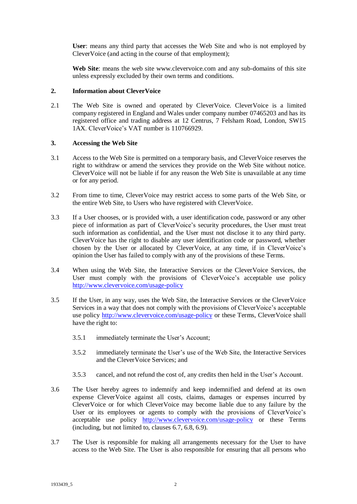**User**: means any third party that accesses the Web Site and who is not employed by CleverVoice (and acting in the course of that employment);

**Web Site**: means the web site www.clevervoice.com and any sub-domains of this site unless expressly excluded by their own terms and conditions.

### **2. Information about CleverVoice**

2.1 The Web Site is owned and operated by CleverVoice. CleverVoice is a limited company registered in England and Wales under company number 07465203 and has its registered office and trading address at 12 Centrus, 7 Felsham Road, London, SW15 1AX. CleverVoice's VAT number is 110766929.

### **3. Accessing the Web Site**

- 3.1 Access to the Web Site is permitted on a temporary basis, and CleverVoice reserves the right to withdraw or amend the services they provide on the Web Site without notice. CleverVoice will not be liable if for any reason the Web Site is unavailable at any time or for any period.
- 3.2 From time to time, CleverVoice may restrict access to some parts of the Web Site, or the entire Web Site, to Users who have registered with CleverVoice.
- 3.3 If a User chooses, or is provided with, a user identification code, password or any other piece of information as part of CleverVoice's security procedures, the User must treat such information as confidential, and the User must not disclose it to any third party. CleverVoice has the right to disable any user identification code or password, whether chosen by the User or allocated by CleverVoice, at any time, if in CleverVoice's opinion the User has failed to comply with any of the provisions of these Terms.
- 3.4 When using the Web Site, the Interactive Services or the CleverVoice Services, the User must comply with the provisions of CleverVoice's acceptable use policy <http://www.clevervoice.com/usage-policy>
- 3.5 If the User, in any way, uses the Web Site, the Interactive Services or the CleverVoice Services in a way that does not comply with the provisions of CleverVoice's acceptable use policy<http://www.clevervoice.com/usage-policy> or these Terms, CleverVoice shall have the right to:
	- 3.5.1 immediately terminate the User's Account;
	- 3.5.2 immediately terminate the User's use of the Web Site, the Interactive Services and the CleverVoice Services; and
	- 3.5.3 cancel, and not refund the cost of, any credits then held in the User's Account.
- 3.6 The User hereby agrees to indemnify and keep indemnified and defend at its own expense CleverVoice against all costs, claims, damages or expenses incurred by CleverVoice or for which CleverVoice may become liable due to any failure by the User or its employees or agents to comply with the provisions of CleverVoice's acceptable use policy <http://www.clevervoice.com/usage-policy> or these Terms (including, but not limited to, clauses 6.7, 6.8, 6.9).
- 3.7 The User is responsible for making all arrangements necessary for the User to have access to the Web Site. The User is also responsible for ensuring that all persons who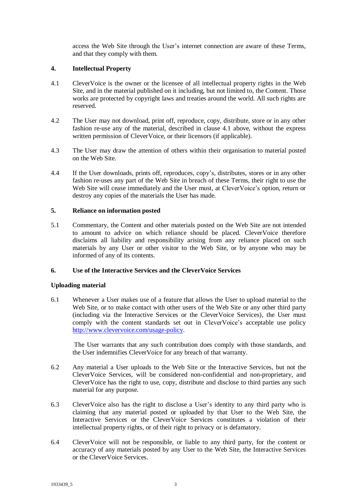access the Web Site through the User's internet connection are aware of these Terms, and that they comply with them.

# **4. Intellectual Property**

- 4.1 CleverVoice is the owner or the licensee of all intellectual property rights in the Web Site, and in the material published on it including, but not limited to, the Content. Those works are protected by copyright laws and treaties around the world. All such rights are reserved.
- 4.2 The User may not download, print off, reproduce, copy, distribute, store or in any other fashion re-use any of the material, described in clause 4.1 above, without the express written permission of CleverVoice, or their licensors (if applicable).
- 4.3 The User may draw the attention of others within their organisation to material posted on the Web Site.
- 4.4 If the User downloads, prints off, reproduces, copy's, distributes, stores or in any other fashion re-uses any part of the Web Site in breach of these Terms, their right to use the Web Site will cease immediately and the User must, at CleverVoice's option, return or destroy any copies of the materials the User has made.

#### **5. Reliance on information posted**

5.1 Commentary, the Content and other materials posted on the Web Site are not intended to amount to advice on which reliance should be placed. CleverVoice therefore disclaims all liability and responsibility arising from any reliance placed on such materials by any User or other visitor to the Web Site, or by anyone who may be informed of any of its contents.

#### **6. Use of the Interactive Services and the CleverVoice Services**

#### **Uploading material**

6.1 Whenever a User makes use of a feature that allows the User to upload material to the Web Site, or to make contact with other users of the Web Site or any other third party (including via the Interactive Services or the CleverVoice Services), the User must comply with the content standards set out in CleverVoice's acceptable use policy [http://www.clevervoice.com/usage-policy.](http://www.clevervoice.com/usage-policy)

The User warrants that any such contribution does comply with those standards, and the User indemnifies CleverVoice for any breach of that warranty.

- 6.2 Any material a User uploads to the Web Site or the Interactive Services, but not the CleverVoice Services, will be considered non-confidential and non-proprietary, and CleverVoice has the right to use, copy, distribute and disclose to third parties any such material for any purpose.
- 6.3 CleverVoice also has the right to disclose a User's identity to any third party who is claiming that any material posted or uploaded by that User to the Web Site, the Interactive Services or the CleverVoice Services constitutes a violation of their intellectual property rights, or of their right to privacy or is defamatory.
- 6.4 CleverVoice will not be responsible, or liable to any third party, for the content or accuracy of any materials posted by any User to the Web Site, the Interactive Services or the CleverVoice Services.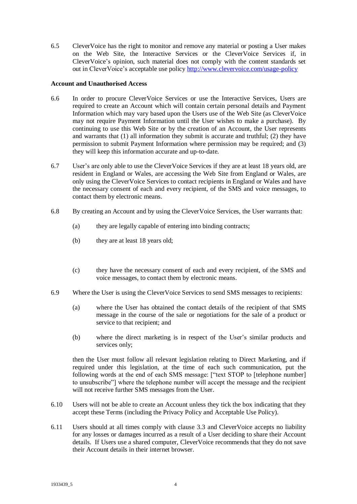6.5 CleverVoice has the right to monitor and remove any material or posting a User makes on the Web Site, the Interactive Services or the CleverVoice Services if, in CleverVoice's opinion, such material does not comply with the content standards set out in CleverVoice's acceptable use policy<http://www.clevervoice.com/usage-policy>

### **Account and Unauthorised Access**

- 6.6 In order to procure CleverVoice Services or use the Interactive Services, Users are required to create an Account which will contain certain personal details and Payment Information which may vary based upon the Users use of the Web Site (as CleverVoice may not require Payment Information until the User wishes to make a purchase). By continuing to use this Web Site or by the creation of an Account, the User represents and warrants that (1) all information they submit is accurate and truthful; (2) they have permission to submit Payment Information where permission may be required; and (3) they will keep this information accurate and up-to-date.
- 6.7 User's are only able to use the CleverVoice Services if they are at least 18 years old, are resident in England or Wales, are accessing the Web Site from England or Wales, are only using the CleverVoice Services to contact recipients in England or Wales and have the necessary consent of each and every recipient, of the SMS and voice messages, to contact them by electronic means.
- 6.8 By creating an Account and by using the CleverVoice Services, the User warrants that:
	- (a) they are legally capable of entering into binding contracts;
	- (b) they are at least 18 years old;
	- (c) they have the necessary consent of each and every recipient, of the SMS and voice messages, to contact them by electronic means.
- 6.9 Where the User is using the CleverVoice Services to send SMS messages to recipients:
	- (a) where the User has obtained the contact details of the recipient of that SMS message in the course of the sale or negotiations for the sale of a product or service to that recipient; and
	- (b) where the direct marketing is in respect of the User's similar products and services only;

then the User must follow all relevant legislation relating to Direct Marketing, and if required under this legislation, at the time of each such communication, put the following words at the end of each SMS message: ["text STOP to [telephone number] to unsubscribe"] where the telephone number will accept the message and the recipient will not receive further SMS messages from the User.

- 6.10 Users will not be able to create an Account unless they tick the box indicating that they accept these Terms (including the Privacy Policy and Acceptable Use Policy).
- 6.11 Users should at all times comply with clause 3.3 and CleverVoice accepts no liability for any losses or damages incurred as a result of a User deciding to share their Account details. If Users use a shared computer, CleverVoice recommends that they do not save their Account details in their internet browser.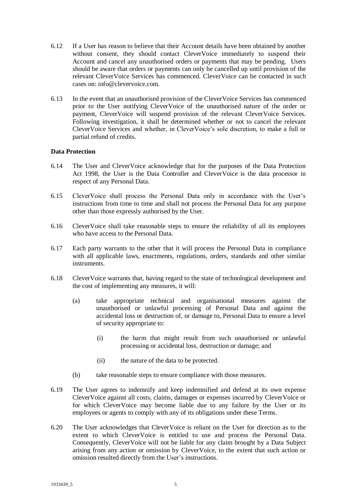- 6.12 If a User has reason to believe that their Account details have been obtained by another without consent, they should contact CleverVoice immediately to suspend their Account and cancel any unauthorised orders or payments that may be pending. Users should be aware that orders or payments can only be cancelled up until provision of the relevant CleverVoice Services has commenced. CleverVoice can be contacted in such cases on: info@clevervoice.com.
- 6.13 In the event that an unauthorised provision of the CleverVoice Services has commenced prior to the User notifying CleverVoice of the unauthorised nature of the order or payment, CleverVoice will suspend provision of the relevant CleverVoice Services. Following investigation, it shall be determined whether or not to cancel the relevant CleverVoice Services and whether, in CleverVoice's sole discretion, to make a full or partial refund of credits.

#### **Data Protection**

- 6.14 The User and CleverVoice acknowledge that for the purposes of the Data Protection Act 1998, the User is the Data Controller and CleverVoice is the data processor in respect of any Personal Data.
- 6.15 CleverVoice shall process the Personal Data only in accordance with the User's instructions from time to time and shall not process the Personal Data for any purpose other than those expressly authorised by the User.
- 6.16 CleverVoice shall take reasonable steps to ensure the reliability of all its employees who have access to the Personal Data.
- 6.17 Each party warrants to the other that it will process the Personal Data in compliance with all applicable laws, enactments, regulations, orders, standards and other similar instruments.
- 6.18 CleverVoice warrants that, having regard to the state of technological development and the cost of implementing any measures, it will:
	- (a) take appropriate technical and organisational measures against the unauthorised or unlawful processing of Personal Data and against the accidental loss or destruction of, or damage to, Personal Data to ensure a level of security appropriate to:
		- (i) the harm that might result from such unauthorised or unlawful processing or accidental loss, destruction or damage; and
		- (ii) the nature of the data to be protected.
	- (b) take reasonable steps to ensure compliance with those measures.
- 6.19 The User agrees to indemnify and keep indemnified and defend at its own expense CleverVoice against all costs, claims, damages or expenses incurred by CleverVoice or for which CleverVoice may become liable due to any failure by the User or its employees or agents to comply with any of its obligations under these Terms.
- 6.20 The User acknowledges that CleverVoice is reliant on the User for direction as to the extent to which CleverVoice is entitled to use and process the Personal Data. Consequently, CleverVoice will not be liable for any claim brought by a Data Subject arising from any action or omission by CleverVoice, to the extent that such action or omission resulted directly from the User's instructions.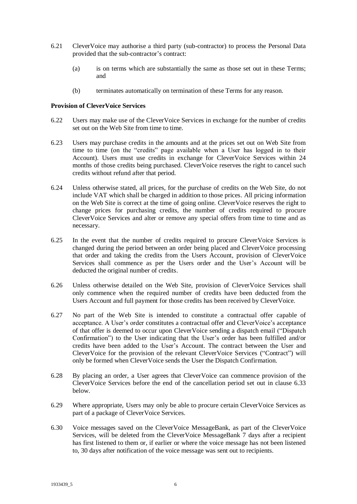- 6.21 CleverVoice may authorise a third party (sub-contractor) to process the Personal Data provided that the sub-contractor's contract:
	- (a) is on terms which are substantially the same as those set out in these Terms; and
	- (b) terminates automatically on termination of these Terms for any reason.

#### **Provision of CleverVoice Services**

- 6.22 Users may make use of the CleverVoice Services in exchange for the number of credits set out on the Web Site from time to time.
- 6.23 Users may purchase credits in the amounts and at the prices set out on Web Site from time to time (on the "credits" page available when a User has logged in to their Account). Users must use credits in exchange for CleverVoice Services within 24 months of those credits being purchased. CleverVoice reserves the right to cancel such credits without refund after that period.
- 6.24 Unless otherwise stated, all prices, for the purchase of credits on the Web Site, do not include VAT which shall be charged in addition to those prices. All pricing information on the Web Site is correct at the time of going online. CleverVoice reserves the right to change prices for purchasing credits, the number of credits required to procure CleverVoice Services and alter or remove any special offers from time to time and as necessary.
- 6.25 In the event that the number of credits required to procure CleverVoice Services is changed during the period between an order being placed and CleverVoice processing that order and taking the credits from the Users Account, provision of CleverVoice Services shall commence as per the Users order and the User's Account will be deducted the original number of credits.
- 6.26 Unless otherwise detailed on the Web Site, provision of CleverVoice Services shall only commence when the required number of credits have been deducted from the Users Account and full payment for those credits has been received by CleverVoice.
- 6.27 No part of the Web Site is intended to constitute a contractual offer capable of acceptance. A User's order constitutes a contractual offer and CleverVoice's acceptance of that offer is deemed to occur upon CleverVoice sending a dispatch email ("Dispatch Confirmation") to the User indicating that the User's order has been fulfilled and/or credits have been added to the User's Account. The contract between the User and CleverVoice for the provision of the relevant CleverVoice Services ("Contract") will only be formed when CleverVoice sends the User the Dispatch Confirmation.
- 6.28 By placing an order, a User agrees that CleverVoice can commence provision of the CleverVoice Services before the end of the cancellation period set out in clause 6.33 below.
- 6.29 Where appropriate, Users may only be able to procure certain CleverVoice Services as part of a package of CleverVoice Services.
- 6.30 Voice messages saved on the CleverVoice MessageBank, as part of the CleverVoice Services, will be deleted from the CleverVoice MessageBank 7 days after a recipient has first listened to them or, if earlier or where the voice message has not been listened to, 30 days after notification of the voice message was sent out to recipients.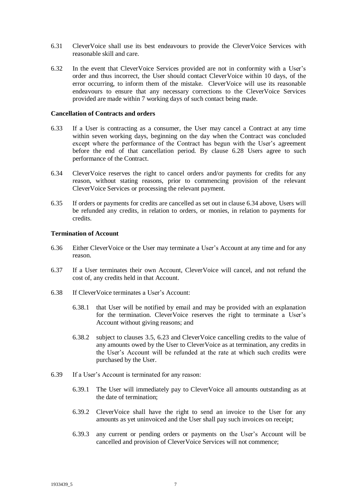- 6.31 CleverVoice shall use its best endeavours to provide the CleverVoice Services with reasonable skill and care.
- 6.32 In the event that CleverVoice Services provided are not in conformity with a User's order and thus incorrect, the User should contact CleverVoice within 10 days, of the error occurring, to inform them of the mistake. CleverVoice will use its reasonable endeavours to ensure that any necessary corrections to the CleverVoice Services provided are made within 7 working days of such contact being made.

#### **Cancellation of Contracts and orders**

- 6.33 If a User is contracting as a consumer, the User may cancel a Contract at any time within seven working days, beginning on the day when the Contract was concluded except where the performance of the Contract has begun with the User's agreement before the end of that cancellation period. By clause 6.28 Users agree to such performance of the Contract.
- 6.34 CleverVoice reserves the right to cancel orders and/or payments for credits for any reason, without stating reasons, prior to commencing provision of the relevant CleverVoice Services or processing the relevant payment.
- 6.35 If orders or payments for credits are cancelled as set out in clause 6.34 above, Users will be refunded any credits, in relation to orders, or monies, in relation to payments for credits.

#### **Termination of Account**

- 6.36 Either CleverVoice or the User may terminate a User's Account at any time and for any reason.
- 6.37 If a User terminates their own Account, CleverVoice will cancel, and not refund the cost of, any credits held in that Account.
- 6.38 If CleverVoice terminates a User's Account:
	- 6.38.1 that User will be notified by email and may be provided with an explanation for the termination. CleverVoice reserves the right to terminate a User's Account without giving reasons; and
	- 6.38.2 subject to clauses 3.5, 6.23 and CleverVoice cancelling credits to the value of any amounts owed by the User to CleverVoice as at termination, any credits in the User's Account will be refunded at the rate at which such credits were purchased by the User.
- 6.39 If a User's Account is terminated for any reason:
	- 6.39.1 The User will immediately pay to CleverVoice all amounts outstanding as at the date of termination;
	- 6.39.2 CleverVoice shall have the right to send an invoice to the User for any amounts as yet uninvoiced and the User shall pay such invoices on receipt;
	- 6.39.3 any current or pending orders or payments on the User's Account will be cancelled and provision of CleverVoice Services will not commence;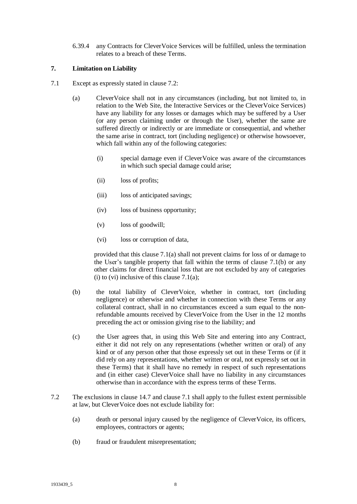6.39.4 any Contracts for CleverVoice Services will be fulfilled, unless the termination relates to a breach of these Terms.

# **7. Limitation on Liability**

- 7.1 Except as expressly stated in clause 7.2:
	- (a) CleverVoice shall not in any circumstances (including, but not limited to, in relation to the Web Site, the Interactive Services or the CleverVoice Services) have any liability for any losses or damages which may be suffered by a User (or any person claiming under or through the User), whether the same are suffered directly or indirectly or are immediate or consequential, and whether the same arise in contract, tort (including negligence) or otherwise howsoever, which fall within any of the following categories:
		- (i) special damage even if CleverVoice was aware of the circumstances in which such special damage could arise;
		- (ii) loss of profits;
		- (iii) loss of anticipated savings;
		- (iv) loss of business opportunity;
		- (v) loss of goodwill;
		- (vi) loss or corruption of data,

provided that this clause 7.1(a) shall not prevent claims for loss of or damage to the User's tangible property that fall within the terms of clause 7.1(b) or any other claims for direct financial loss that are not excluded by any of categories (i) to (vi) inclusive of this clause  $7.1(a)$ ;

- (b) the total liability of CleverVoice, whether in contract, tort (including negligence) or otherwise and whether in connection with these Terms or any collateral contract, shall in no circumstances exceed a sum equal to the nonrefundable amounts received by CleverVoice from the User in the 12 months preceding the act or omission giving rise to the liability; and
- (c) the User agrees that, in using this Web Site and entering into any Contract, either it did not rely on any representations (whether written or oral) of any kind or of any person other that those expressly set out in these Terms or (if it did rely on any representations, whether written or oral, not expressly set out in these Terms) that it shall have no remedy in respect of such representations and (in either case) CleverVoice shall have no liability in any circumstances otherwise than in accordance with the express terms of these Terms.
- 7.2 The exclusions in clause 14.7 and clause 7.1 shall apply to the fullest extent permissible at law, but CleverVoice does not exclude liability for:
	- (a) death or personal injury caused by the negligence of CleverVoice, its officers, employees, contractors or agents;
	- (b) fraud or fraudulent misrepresentation;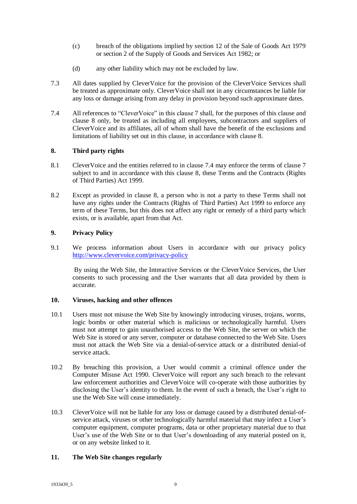- (c) breach of the obligations implied by section 12 of the Sale of Goods Act 1979 or section 2 of the Supply of Goods and Services Act 1982; or
- (d) any other liability which may not be excluded by law.
- 7.3 All dates supplied by CleverVoice for the provision of the CleverVoice Services shall be treated as approximate only. CleverVoice shall not in any circumstances be liable for any loss or damage arising from any delay in provision beyond such approximate dates.
- 7.4 All references to "CleverVoice" in this clause 7 shall, for the purposes of this clause and clause 8 only, be treated as including all employees, subcontractors and suppliers of CleverVoice and its affiliates, all of whom shall have the benefit of the exclusions and limitations of liability set out in this clause, in accordance with clause 8.

### **8. Third party rights**

- 8.1 CleverVoice and the entities referred to in clause 7.4 may enforce the terms of clause 7 subject to and in accordance with this clause 8, these Terms and the Contracts (Rights of Third Parties) Act 1999.
- 8.2 Except as provided in clause 8, a person who is not a party to these Terms shall not have any rights under the Contracts (Rights of Third Parties) Act 1999 to enforce any term of these Terms, but this does not affect any right or remedy of a third party which exists, or is available, apart from that Act.

# **9. Privacy Policy**

9.1 We process information about Users in accordance with our privacy policy <http://www.clevervoice.com/privacy-policy>

By using the Web Site, the Interactive Services or the CleverVoice Services, the User consents to such processing and the User warrants that all data provided by them is accurate.

#### **10. Viruses, hacking and other offences**

- 10.1 Users must not misuse the Web Site by knowingly introducing viruses, trojans, worms, logic bombs or other material which is malicious or technologically harmful. Users must not attempt to gain unauthorised access to the Web Site, the server on which the Web Site is stored or any server, computer or database connected to the Web Site. Users must not attack the Web Site via a denial-of-service attack or a distributed denial-of service attack.
- 10.2 By breaching this provision, a User would commit a criminal offence under the Computer Misuse Act 1990. CleverVoice will report any such breach to the relevant law enforcement authorities and CleverVoice will co-operate with those authorities by disclosing the User's identity to them. In the event of such a breach, the User's right to use the Web Site will cease immediately.
- 10.3 CleverVoice will not be liable for any loss or damage caused by a distributed denial-ofservice attack, viruses or other technologically harmful material that may infect a User's computer equipment, computer programs, data or other proprietary material due to that User's use of the Web Site or to that User's downloading of any material posted on it, or on any website linked to it.

### **11. The Web Site changes regularly**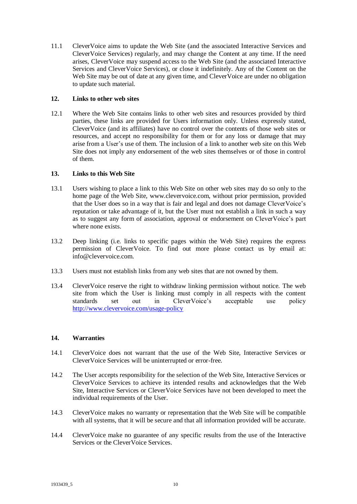11.1 CleverVoice aims to update the Web Site (and the associated Interactive Services and CleverVoice Services) regularly, and may change the Content at any time. If the need arises, CleverVoice may suspend access to the Web Site (and the associated Interactive Services and CleverVoice Services), or close it indefinitely. Any of the Content on the Web Site may be out of date at any given time, and CleverVoice are under no obligation to update such material.

# **12. Links to other web sites**

12.1 Where the Web Site contains links to other web sites and resources provided by third parties, these links are provided for Users information only. Unless expressly stated, CleverVoice (and its affiliates) have no control over the contents of those web sites or resources, and accept no responsibility for them or for any loss or damage that may arise from a User's use of them. The inclusion of a link to another web site on this Web Site does not imply any endorsement of the web sites themselves or of those in control of them.

### **13. Links to this Web Site**

- 13.1 Users wishing to place a link to this Web Site on other web sites may do so only to the home page of the Web Site, www.clevervoice.com, without prior permission, provided that the User does so in a way that is fair and legal and does not damage CleverVoice's reputation or take advantage of it, but the User must not establish a link in such a way as to suggest any form of association, approval or endorsement on CleverVoice's part where none exists.
- 13.2 Deep linking (i.e. links to specific pages within the Web Site) requires the express permission of CleverVoice. To find out more please contact us by email at: info@clevervoice.com.
- 13.3 Users must not establish links from any web sites that are not owned by them.
- 13.4 CleverVoice reserve the right to withdraw linking permission without notice. The web site from which the User is linking must comply in all respects with the content standards set out in CleverVoice's acceptable use policy <http://www.clevervoice.com/usage-policy>

# **14. Warranties**

- 14.1 CleverVoice does not warrant that the use of the Web Site, Interactive Services or CleverVoice Services will be uninterrupted or error-free.
- 14.2 The User accepts responsibility for the selection of the Web Site, Interactive Services or CleverVoice Services to achieve its intended results and acknowledges that the Web Site, Interactive Services or CleverVoice Services have not been developed to meet the individual requirements of the User.
- 14.3 CleverVoice makes no warranty or representation that the Web Site will be compatible with all systems, that it will be secure and that all information provided will be accurate.
- 14.4 CleverVoice make no guarantee of any specific results from the use of the Interactive Services or the CleverVoice Services.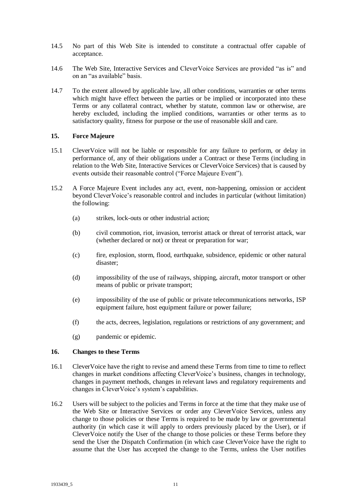- 14.5 No part of this Web Site is intended to constitute a contractual offer capable of acceptance.
- 14.6 The Web Site, Interactive Services and CleverVoice Services are provided "as is" and on an "as available" basis.
- 14.7 To the extent allowed by applicable law, all other conditions, warranties or other terms which might have effect between the parties or be implied or incorporated into these Terms or any collateral contract, whether by statute, common law or otherwise, are hereby excluded, including the implied conditions, warranties or other terms as to satisfactory quality, fitness for purpose or the use of reasonable skill and care.

#### **15. Force Majeure**

- 15.1 CleverVoice will not be liable or responsible for any failure to perform, or delay in performance of, any of their obligations under a Contract or these Terms (including in relation to the Web Site, Interactive Services or CleverVoice Services) that is caused by events outside their reasonable control ("Force Majeure Event").
- 15.2 A Force Majeure Event includes any act, event, non-happening, omission or accident beyond CleverVoice's reasonable control and includes in particular (without limitation) the following:
	- (a) strikes, lock-outs or other industrial action;
	- (b) civil commotion, riot, invasion, terrorist attack or threat of terrorist attack, war (whether declared or not) or threat or preparation for war;
	- (c) fire, explosion, storm, flood, earthquake, subsidence, epidemic or other natural disaster;
	- (d) impossibility of the use of railways, shipping, aircraft, motor transport or other means of public or private transport;
	- (e) impossibility of the use of public or private telecommunications networks, ISP equipment failure, host equipment failure or power failure;
	- (f) the acts, decrees, legislation, regulations or restrictions of any government; and
	- (g) pandemic or epidemic.

### **16. Changes to these Terms**

- 16.1 CleverVoice have the right to revise and amend these Terms from time to time to reflect changes in market conditions affecting CleverVoice's business, changes in technology, changes in payment methods, changes in relevant laws and regulatory requirements and changes in CleverVoice's system's capabilities.
- 16.2 Users will be subject to the policies and Terms in force at the time that they make use of the Web Site or Interactive Services or order any CleverVoice Services, unless any change to those policies or these Terms is required to be made by law or governmental authority (in which case it will apply to orders previously placed by the User), or if CleverVoice notify the User of the change to those policies or these Terms before they send the User the Dispatch Confirmation (in which case CleverVoice have the right to assume that the User has accepted the change to the Terms, unless the User notifies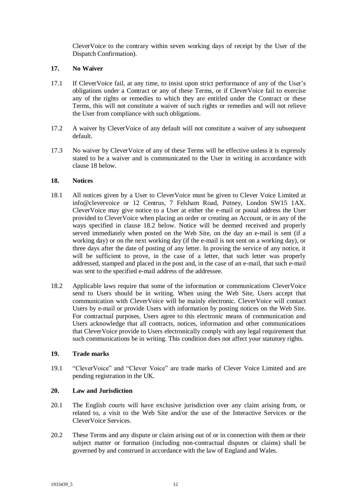CleverVoice to the contrary within seven working days of receipt by the User of the Dispatch Confirmation).

### **17. No Waiver**

- 17.1 If CleverVoice fail, at any time, to insist upon strict performance of any of the User's obligations under a Contract or any of these Terms, or if CleverVoice fail to exercise any of the rights or remedies to which they are entitled under the Contract or these Terms, this will not constitute a waiver of such rights or remedies and will not relieve the User from compliance with such obligations.
- 17.2 A waiver by CleverVoice of any default will not constitute a waiver of any subsequent default.
- 17.3 No waiver by CleverVoice of any of these Terms will be effective unless it is expressly stated to be a waiver and is communicated to the User in writing in accordance with clause 18 below.

# **18. Notices**

- 18.1 All notices given by a User to CleverVoice must be given to Clever Voice Limited at info@clevervoice or 12 Centrus, 7 Felsham Road, Putney, London SW15 1AX. CleverVoice may give notice to a User at either the e-mail or postal address the User provided to CleverVoice when placing an order or creating an Account, or in any of the ways specified in clause 18.2 below. Notice will be deemed received and properly served immediately when posted on the Web Site, on the day an e-mail is sent (if a working day) or on the next working day (if the e-mail is not sent on a working day), or three days after the date of posting of any letter. In proving the service of any notice, it will be sufficient to prove, in the case of a letter, that such letter was properly addressed, stamped and placed in the post and, in the case of an e-mail, that such e-mail was sent to the specified e-mail address of the addressee.
- 18.2 Applicable laws require that some of the information or communications CleverVoice send to Users should be in writing. When using the Web Site, Users accept that communication with CleverVoice will be mainly electronic. CleverVoice will contact Users by e-mail or provide Users with information by posting notices on the Web Site. For contractual purposes, Users agree to this electronic means of communication and Users acknowledge that all contracts, notices, information and other communications that CleverVoice provide to Users electronically comply with any legal requirement that such communications be in writing. This condition does not affect your statutory rights.

# **19. Trade marks**

19.1 "CleverVoice" and "Clever Voice" are trade marks of Clever Voice Limited and are pending registration in the UK.

#### **20. Law and Jurisdiction**

- 20.1 The English courts will have exclusive jurisdiction over any claim arising from, or related to, a visit to the Web Site and/or the use of the Interactive Services or the CleverVoice Services.
- 20.2 These Terms and any dispute or claim arising out of or in connection with them or their subject matter or formation (including non-contractual disputes or claims) shall be governed by and construed in accordance with the law of England and Wales.